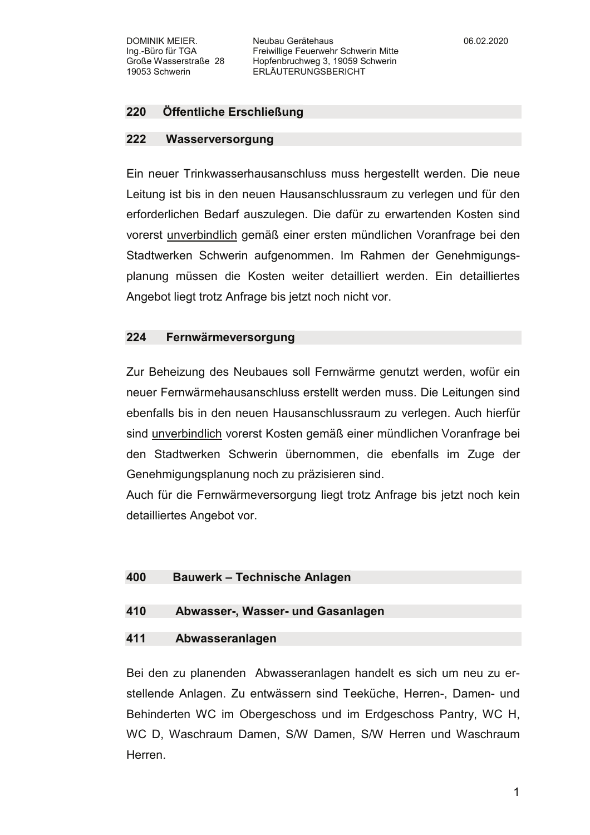## 220 Öffentliche Erschließung

#### 222 Wasserversorgung

Ein neuer Trinkwasserhausanschluss muss hergestellt werden. Die neue Leitung ist bis in den neuen Hausanschlussraum zu verlegen und für den erforderlichen Bedarf auszulegen. Die dafür zu erwartenden Kosten sind vorerst unverbindlich gemäß einer ersten mündlichen Voranfrage bei den Stadtwerken Schwerin aufgenommen. Im Rahmen der Genehmigungsplanung müssen die Kosten weiter detailliert werden. Ein detailliertes Angebot liegt trotz Anfrage bis jetzt noch nicht vor.

## 224 Fernwärmeversorgung

Zur Beheizung des Neubaues soll Fernwärme genutzt werden, wofür ein neuer Fernwärmehausanschluss erstellt werden muss. Die Leitungen sind ebenfalls bis in den neuen Hausanschlussraum zu verlegen. Auch hierfür sind unverbindlich vorerst Kosten gemäß einer mündlichen Voranfrage bei den Stadtwerken Schwerin übernommen, die ebenfalls im Zuge der Genehmigungsplanung noch zu präzisieren sind.

Auch für die Fernwärmeversorgung liegt trotz Anfrage bis jetzt noch kein detailliertes Angebot vor.

## 400 **Bauwerk - Technische Anlagen**

### 410 Abwasser-, Wasser- und Gasanlagen

#### 411 Abwasseranlagen

Bei den zu planenden Abwasseranlagen handelt es sich um neu zu erstellende Anlagen. Zu entwässern sind Teeküche, Herren-, Damen- und Behinderten WC im Obergeschoss und im Erdgeschoss Pantry, WC H. WC D, Waschraum Damen, S/W Damen, S/W Herren und Waschraum Herren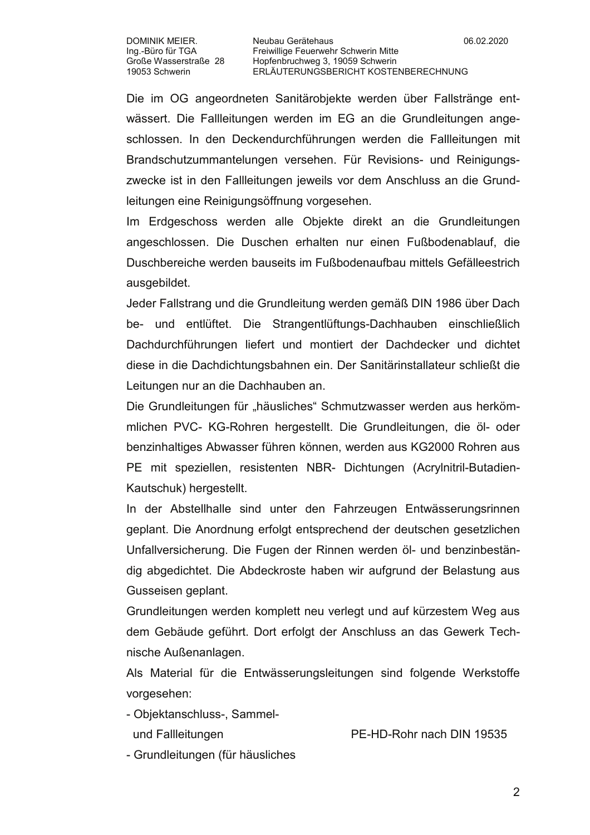Die im OG angeordneten Sanitärobjekte werden über Fallstränge entwässert. Die Fallleitungen werden im EG an die Grundleitungen angeschlossen. In den Deckendurchführungen werden die Fallleitungen mit Brandschutzummantelungen versehen. Für Revisions- und Reinigungszwecke ist in den Fallleitungen jeweils vor dem Anschluss an die Grundleitungen eine Reinigungsöffnung vorgesehen.

Im Erdgeschoss werden alle Objekte direkt an die Grundleitungen angeschlossen. Die Duschen erhalten nur einen Fußbodenablauf, die Duschbereiche werden bauseits im Fußbodenaufbau mittels Gefälleestrich ausgebildet.

Jeder Fallstrang und die Grundleitung werden gemäß DIN 1986 über Dach be- und entlüftet. Die Strangentlüftungs-Dachhauben einschließlich Dachdurchführungen liefert und montiert der Dachdecker und dichtet diese in die Dachdichtungsbahnen ein. Der Sanitärinstallateur schließt die Leitungen nur an die Dachhauben an.

Die Grundleitungen für "häusliches" Schmutzwasser werden aus herkömmlichen PVC- KG-Rohren hergestellt. Die Grundleitungen, die öl- oder benzinhaltiges Abwasser führen können, werden aus KG2000 Rohren aus PE mit speziellen, resistenten NBR- Dichtungen (Acrylnitril-Butadien-Kautschuk) hergestellt.

In der Abstellhalle sind unter den Fahrzeugen Entwässerungsrinnen geplant. Die Anordnung erfolgt entsprechend der deutschen gesetzlichen Unfallversicherung. Die Fugen der Rinnen werden öl- und benzinbeständig abgedichtet. Die Abdeckroste haben wir aufgrund der Belastung aus Gusseisen geplant.

Grundleitungen werden komplett neu verlegt und auf kürzestem Weg aus dem Gebäude geführt. Dort erfolgt der Anschluss an das Gewerk Technische Außenanlagen.

Als Material für die Entwässerungsleitungen sind folgende Werkstoffe vorgesehen:

- Objektanschluss-, Sammel-

und Fallleitungen

PF-HD-Rohr nach DIN 19535

- Grundleitungen (für häusliches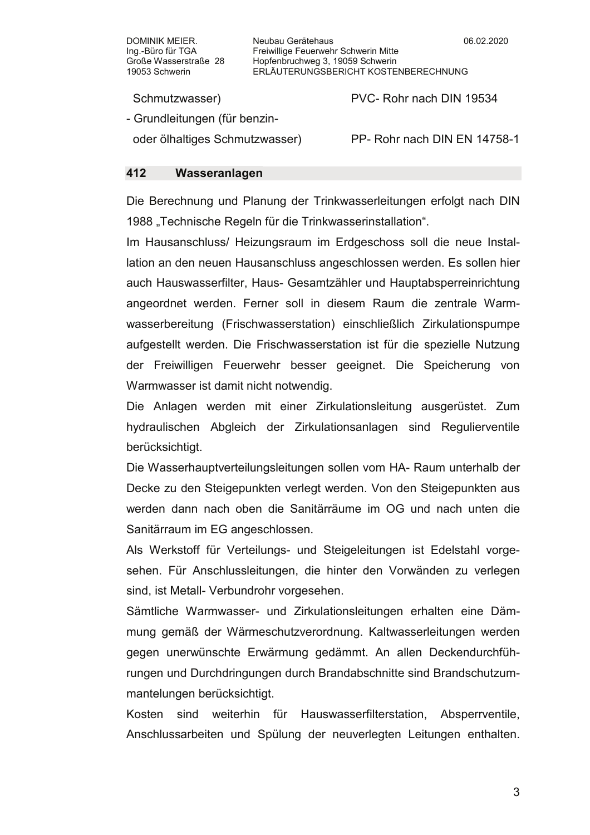Neubau Gerätehaus Freiwillige Feuerwehr Schwerin Mitte Hopfenbruchweg 3, 19059 Schwerin ERLÄUTERUNGSBERICHT KOSTENBERECHNUNG

Schmutzwasser)

- Grundleitungen (für benzin-

oder ölhaltiges Schmutzwasser)

PP- Rohr nach DIN EN 14758-1

PVC-Rohr nach DIN 19534

## Wasseranlagen 412

Die Berechnung und Planung der Trinkwasserleitungen erfolgt nach DIN 1988 "Technische Regeln für die Trinkwasserinstallation".

Im Hausanschluss/ Heizungsraum im Erdgeschoss soll die neue Installation an den neuen Hausanschluss angeschlossen werden. Es sollen hier auch Hauswasserfilter, Haus- Gesamtzähler und Hauptabsperreinrichtung angeordnet werden. Ferner soll in diesem Raum die zentrale Warmwasserbereitung (Frischwasserstation) einschließlich Zirkulationspumpe aufgestellt werden. Die Frischwasserstation ist für die spezielle Nutzung der Freiwilligen Feuerwehr besser geeignet. Die Speicherung von Warmwasser ist damit nicht notwendig.

Die Anlagen werden mit einer Zirkulationsleitung ausgerüstet. Zum hydraulischen Abgleich der Zirkulationsanlagen sind Regulierventile berücksichtigt.

Die Wasserhauptverteilungsleitungen sollen vom HA- Raum unterhalb der Decke zu den Steigepunkten verlegt werden. Von den Steigepunkten aus werden dann nach oben die Sanitärräume im OG und nach unten die Sanitärraum im EG angeschlossen.

Als Werkstoff für Verteilungs- und Steigeleitungen ist Edelstahl vorgesehen. Für Anschlussleitungen, die hinter den Vorwänden zu verlegen sind, ist Metall- Verbundrohr vorgesehen.

Sämtliche Warmwasser- und Zirkulationsleitungen erhalten eine Dämmung gemäß der Wärmeschutzverordnung. Kaltwasserleitungen werden gegen unerwünschte Erwärmung gedämmt. An allen Deckendurchführungen und Durchdringungen durch Brandabschnitte sind Brandschutzummantelungen berücksichtigt.

Kosten sind weiterhin für Hauswasserfilterstation, Absperrventile. Anschlussarbeiten und Spülung der neuverlegten Leitungen enthalten.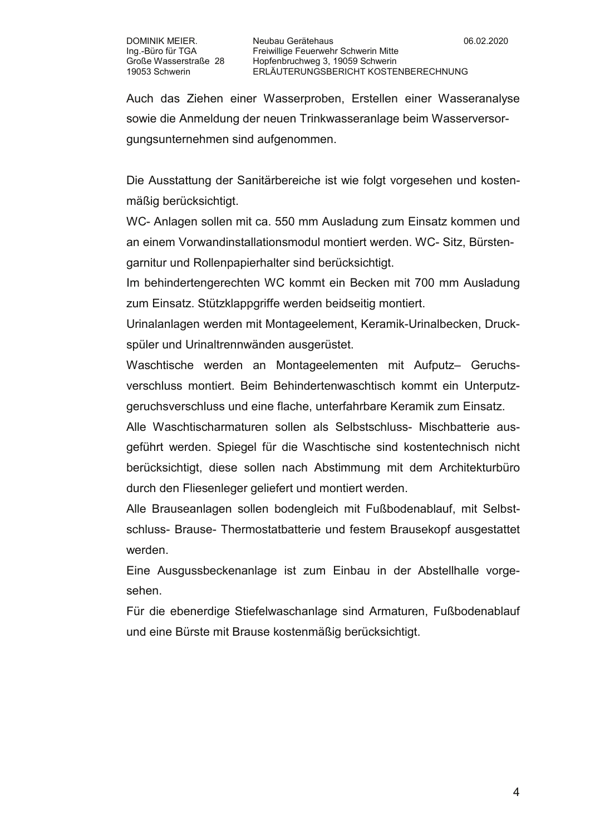Auch das Ziehen einer Wasserproben, Erstellen einer Wasseranalyse sowie die Anmeldung der neuen Trinkwasseranlage beim Wasserversorgungsunternehmen sind aufgenommen.

Die Ausstattung der Sanitärbereiche ist wie folgt vorgesehen und kostenmäßig berücksichtigt.

WC- Anlagen sollen mit ca. 550 mm Ausladung zum Einsatz kommen und an einem Vorwandinstallationsmodul montiert werden. WC- Sitz, Bürstengarnitur und Rollenpapierhalter sind berücksichtigt.

Im behindertengerechten WC kommt ein Becken mit 700 mm Ausladung zum Einsatz. Stützklappgriffe werden beidseitig montiert.

Urinalanlagen werden mit Montageelement, Keramik-Urinalbecken, Druckspüler und Urinaltrennwänden ausgerüstet.

Waschtische werden an Montageelementen mit Aufputz- Geruchsverschluss montiert. Beim Behindertenwaschtisch kommt ein Unterputzgeruchsverschluss und eine flache, unterfahrbare Keramik zum Einsatz.

Alle Waschtischarmaturen sollen als Selbstschluss- Mischbatterie ausgeführt werden. Spiegel für die Waschtische sind kostentechnisch nicht berücksichtigt, diese sollen nach Abstimmung mit dem Architekturbüro durch den Fliesenleger geliefert und montiert werden.

Alle Brauseanlagen sollen bodengleich mit Fußbodenablauf, mit Selbstschluss- Brause- Thermostatbatterie und festem Brausekopf ausgestattet werden.

Eine Ausgussbeckenanlage ist zum Einbau in der Abstellhalle vorgesehen.

Für die ebenerdige Stiefelwaschanlage sind Armaturen, Fußbodenablauf und eine Bürste mit Brause kostenmäßig berücksichtigt.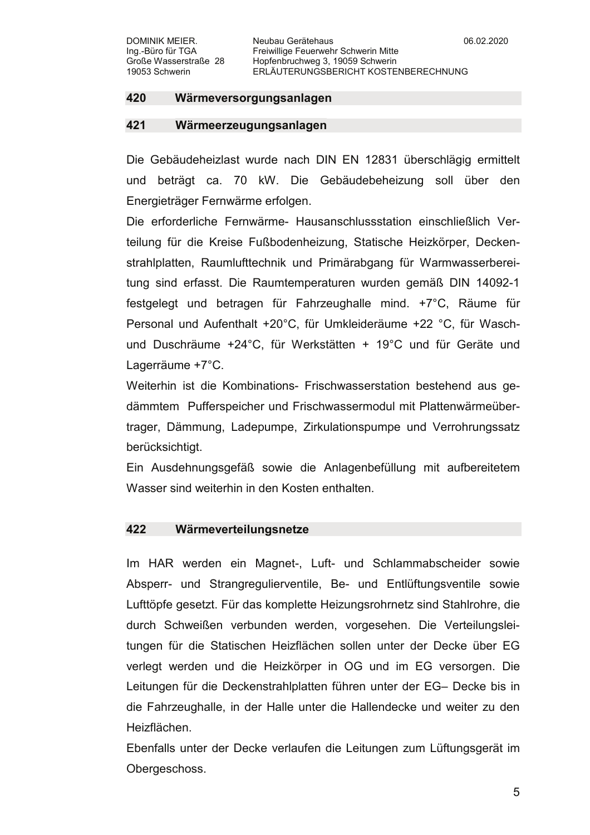### 421 Wärmeerzeugungsanlagen

Die Gebäudeheizlast wurde nach DIN EN 12831 überschlägig ermittelt und beträgt ca. 70 kW. Die Gebäudebeheizung soll über den Energieträger Fernwärme erfolgen.

Die erforderliche Fernwärme- Hausanschlussstation einschließlich Verteilung für die Kreise Fußbodenheizung. Statische Heizkörper, Deckenstrahlplatten, Raumlufttechnik und Primärabgang für Warmwasserbereitung sind erfasst. Die Raumtemperaturen wurden gemäß DIN 14092-1 festgelegt und betragen für Fahrzeughalle mind. +7°C, Räume für Personal und Aufenthalt +20°C, für Umkleideräume +22 °C, für Waschund Duschräume +24°C, für Werkstätten + 19°C und für Geräte und Lagerräume +7°C.

Weiterhin ist die Kombinations- Frischwasserstation bestehend aus gedämmtem Pufferspeicher und Frischwassermodul mit Plattenwärmeübertrager, Dämmung, Ladepumpe, Zirkulationspumpe und Verrohrungssatz berücksichtigt.

Ein Ausdehnungsgefäß sowie die Anlagenbefüllung mit aufbereitetem Wasser sind weiterhin in den Kosten enthalten

#### 422 Wärmeverteilungsnetze

Im HAR werden ein Magnet-, Luft- und Schlammabscheider sowie Absperr- und Strangregulierventile, Be- und Entlüftungsventile sowie Lufttöpfe gesetzt. Für das komplette Heizungsrohrnetz sind Stahlrohre, die durch Schweißen verbunden werden, vorgesehen. Die Verteilungsleitungen für die Statischen Heizflächen sollen unter der Decke über EG verlegt werden und die Heizkörper in OG und im EG versorgen. Die Leitungen für die Deckenstrahlplatten führen unter der EG- Decke bis in die Fahrzeughalle, in der Halle unter die Hallendecke und weiter zu den Heizflächen.

Ebenfalls unter der Decke verlaufen die Leitungen zum Lüftungsgerät im Obergeschoss.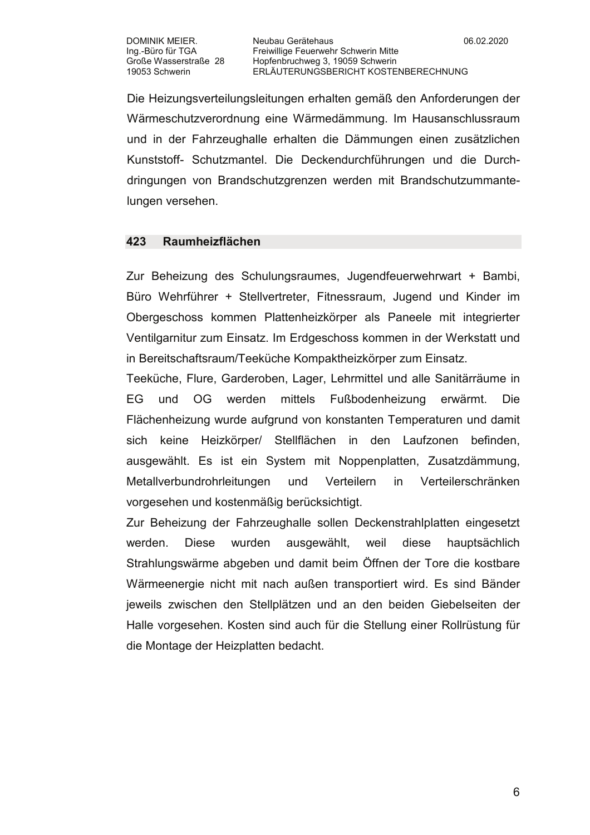Die Heizungsverteilungsleitungen erhalten gemäß den Anforderungen der Wärmeschutzverordnung eine Wärmedämmung. Im Hausanschlussraum und in der Fahrzeughalle erhalten die Dämmungen einen zusätzlichen Kunststoff- Schutzmantel. Die Deckendurchführungen und die Durchdringungen von Brandschutzgrenzen werden mit Brandschutzummantelungen versehen.

## 423 Raumheizflächen

Zur Beheizung des Schulungsraumes, Jugendfeuerwehrwart + Bambi, Büro Wehrführer + Stellvertreter, Fitnessraum, Jugend und Kinder im Obergeschoss kommen Plattenheizkörper als Paneele mit integrierter Ventilgarnitur zum Einsatz. Im Erdgeschoss kommen in der Werkstatt und in Bereitschaftsraum/Teeküche Kompaktheizkörper zum Einsatz.

Teeküche, Flure, Garderoben, Lager, Lehrmittel und alle Sanitärräume in mittels Fußbodenheizung EG und OG. werden erwärmt. Die i Flächenheizung wurde aufgrund von konstanten Temperaturen und damit Heizkörper/ Stellflächen in den Laufzonen befinden, keine sich ausgewählt. Es ist ein System mit Noppenplatten, Zusatzdämmung, Metallverbundrohrleitungen und Verteilern in Verteilerschränken vorgesehen und kostenmäßig berücksichtigt.

Zur Beheizung der Fahrzeughalle sollen Deckenstrahlplatten eingesetzt werden. **Diese** wurden ausgewählt, weil diese hauptsächlich Strahlungswärme abgeben und damit beim Öffnen der Tore die kostbare Wärmeenergie nicht mit nach außen transportiert wird. Es sind Bänder jeweils zwischen den Stellplätzen und an den beiden Giebelseiten der Halle vorgesehen. Kosten sind auch für die Stellung einer Rollrüstung für die Montage der Heizplatten bedacht.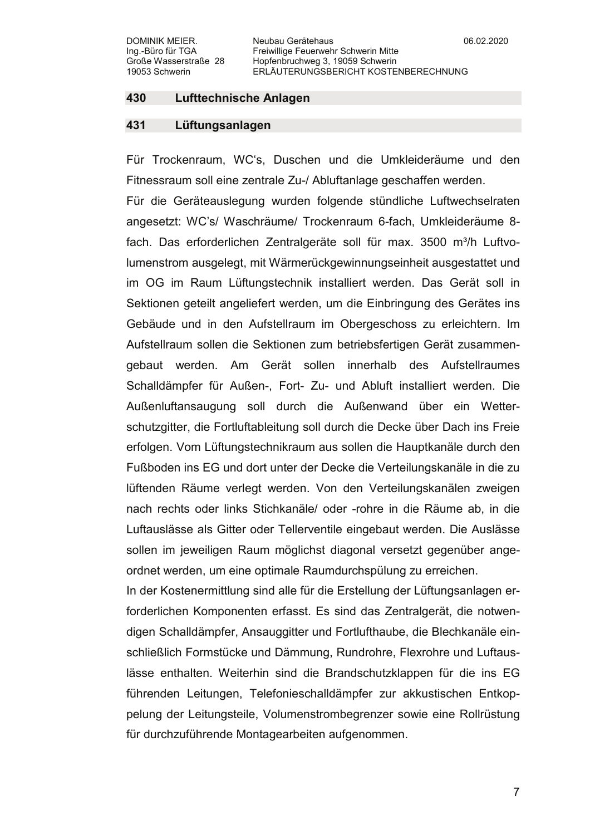#### 430 **Lufttechnische Anlagen**

## 431 Lüftungsanlagen

Für Trockenraum, WC's, Duschen und die Umkleideräume und den Fitnessraum soll eine zentrale Zu-/ Abluftanlage geschaffen werden.

Für die Geräteauslegung wurden folgende stündliche Luftwechselraten angesetzt: WC's/ Waschräume/ Trockenraum 6-fach, Umkleideräume 8fach. Das erforderlichen Zentralgeräte soll für max. 3500 m<sup>3</sup>/h Luftvolumenstrom ausgelegt, mit Wärmerückgewinnungseinheit ausgestattet und im OG im Raum Lüftungstechnik installiert werden. Das Gerät soll in Sektionen geteilt angeliefert werden, um die Einbringung des Gerätes ins Gebäude und in den Aufstellraum im Obergeschoss zu erleichtern. Im Aufstellraum sollen die Sektionen zum betriebsfertigen Gerät zusammengebaut werden. Am Gerät sollen innerhalb des Aufstellraumes Schalldämpfer für Außen-. Fort- Zu- und Abluft installiert werden. Die Außenluftansaugung soll durch die Außenwand über ein Wetterschutzgitter, die Fortluftableitung soll durch die Decke über Dach ins Freie erfolgen. Vom Lüftungstechnikraum aus sollen die Hauptkanäle durch den Fußboden ins EG und dort unter der Decke die Verteilungskanäle in die zu lüftenden Räume verlegt werden. Von den Verteilungskanälen zweigen nach rechts oder links Stichkanäle/ oder -rohre in die Räume ab, in die Luftauslässe als Gitter oder Tellerventile eingebaut werden. Die Auslässe sollen im jeweiligen Raum möglichst diagonal versetzt gegenüber angeordnet werden, um eine optimale Raumdurchspülung zu erreichen.

In der Kostenermittlung sind alle für die Erstellung der Lüftungsanlagen erforderlichen Komponenten erfasst. Es sind das Zentralgerät, die notwendigen Schalldämpfer, Ansauggitter und Fortlufthaube, die Blechkanäle einschließlich Formstücke und Dämmung, Rundrohre, Flexrohre und Luftauslässe enthalten. Weiterhin sind die Brandschutzklappen für die ins EG führenden Leitungen, Telefonieschalldämpfer zur akkustischen Entkoppelung der Leitungsteile, Volumenstrombegrenzer sowie eine Rollrüstung für durchzuführende Montagearbeiten aufgenommen.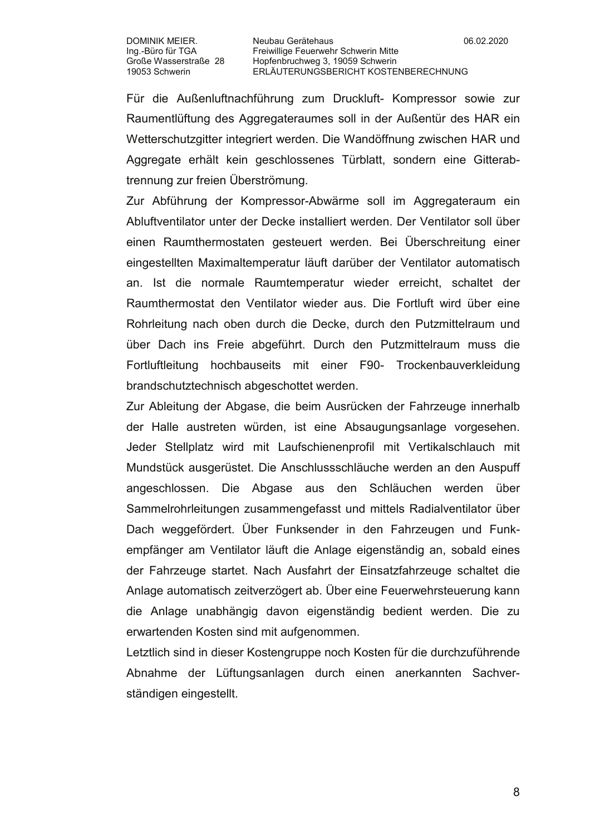Für die Außenluftnachführung zum Druckluft- Kompressor sowie zur Raumentlüftung des Aggregateraumes soll in der Außentür des HAR ein Wetterschutzgitter integriert werden. Die Wandöffnung zwischen HAR und Aggregate erhält kein geschlossenes Türblatt, sondern eine Gitterabtrennung zur freien Überströmung.

Zur Abführung der Kompressor-Abwärme soll im Aggregateraum ein Abluftventilator unter der Decke installiert werden. Der Ventilator soll über einen Raumthermostaten gesteuert werden. Bei Überschreitung einer eingestellten Maximaltemperatur läuft darüber der Ventilator automatisch an. Ist die normale Raumtemperatur wieder erreicht, schaltet der Raumthermostat den Ventilator wieder aus. Die Fortluft wird über eine Rohrleitung nach oben durch die Decke, durch den Putzmittelraum und über Dach ins Freie abgeführt. Durch den Putzmittelraum muss die Fortluftleitung hochbauseits mit einer F90- Trockenbauverkleidung brandschutztechnisch abgeschottet werden.

Zur Ableitung der Abgase, die beim Ausrücken der Fahrzeuge innerhalb der Halle austreten würden, ist eine Absaugungsanlage vorgesehen. Jeder Stellplatz wird mit Laufschienenprofil mit Vertikalschlauch mit Mundstück ausgerüstet. Die Anschlussschläuche werden an den Auspuff angeschlossen. Die Abgase aus den Schläuchen werden über Sammelrohrleitungen zusammengefasst und mittels Radialventilator über Dach weggefördert. Über Funksender in den Fahrzeugen und Funkempfänger am Ventilator läuft die Anlage eigenständig an, sobald eines der Fahrzeuge startet. Nach Ausfahrt der Einsatzfahrzeuge schaltet die Anlage automatisch zeitverzögert ab. Über eine Feuerwehrsteuerung kann die Anlage unabhängig davon eigenständig bedient werden. Die zu erwartenden Kosten sind mit aufgenommen.

Letztlich sind in dieser Kostengruppe noch Kosten für die durchzuführende Abnahme der Lüftungsanlagen durch einen anerkannten Sachverständigen eingestellt.

8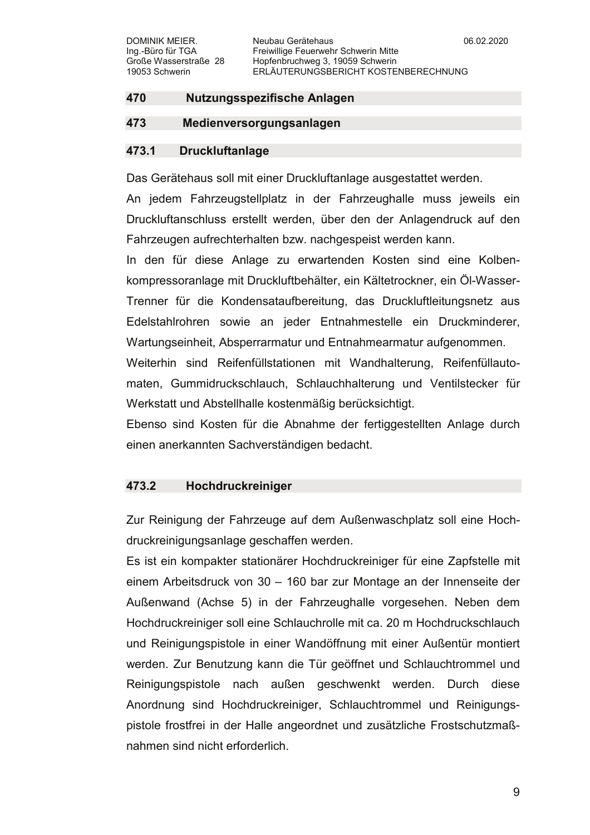# 470 Nutzungsspezifische Anlagen

## 473 Medienversorgungsanlagen

## 473.1 **Druckluftanlage**

Das Gerätehaus soll mit einer Druckluftanlage ausgestattet werden.

An jedem Fahrzeugstellplatz in der Fahrzeughalle muss jeweils ein Druckluftanschluss erstellt werden, über den der Anlagendruck auf den Fahrzeugen aufrechterhalten bzw. nachgespeist werden kann.

In den für diese Anlage zu erwartenden Kosten sind eine Kolbenkompressoranlage mit Druckluftbehälter, ein Kältetrockner, ein Öl-Wasser-Trenner für die Kondensataufbereitung, das Druckluftleitungsnetz aus Edelstahlrohren sowie an ieder Entnahmestelle ein Druckminderer. Wartungseinheit, Absperrarmatur und Entnahmearmatur aufgenommen.

Weiterhin sind Reifenfüllstationen mit Wandhalterung, Reifenfüllautomaten, Gummidruckschlauch, Schlauchhalterung und Ventilstecker für Werkstatt und Abstellhalle kostenmäßig berücksichtigt.

Ebenso sind Kosten für die Abnahme der fertiggestellten Anlage durch einen anerkannten Sachverständigen bedacht.

## 473.2 Hochdruckreiniger

Zur Reinigung der Fahrzeuge auf dem Außenwaschplatz soll eine Hochdruckreinigungsanlage geschaffen werden.

Es ist ein kompakter stationärer Hochdruckreiniger für eine Zapfstelle mit einem Arbeitsdruck von 30 - 160 bar zur Montage an der Innenseite der Außenwand (Achse 5) in der Fahrzeughalle vorgesehen. Neben dem Hochdruckreiniger soll eine Schlauchrolle mit ca. 20 m Hochdruckschlauch und Reinigungspistole in einer Wandöffnung mit einer Außentür montiert werden. Zur Benutzung kann die Tür geöffnet und Schlauchtrommel und Reinigungspistole nach außen geschwenkt werden. Durch diese Anordnung sind Hochdruckreiniger, Schlauchtrommel und Reinigungspistole frostfrei in der Halle angeordnet und zusätzliche Frostschutzmaßnahmen sind nicht erforderlich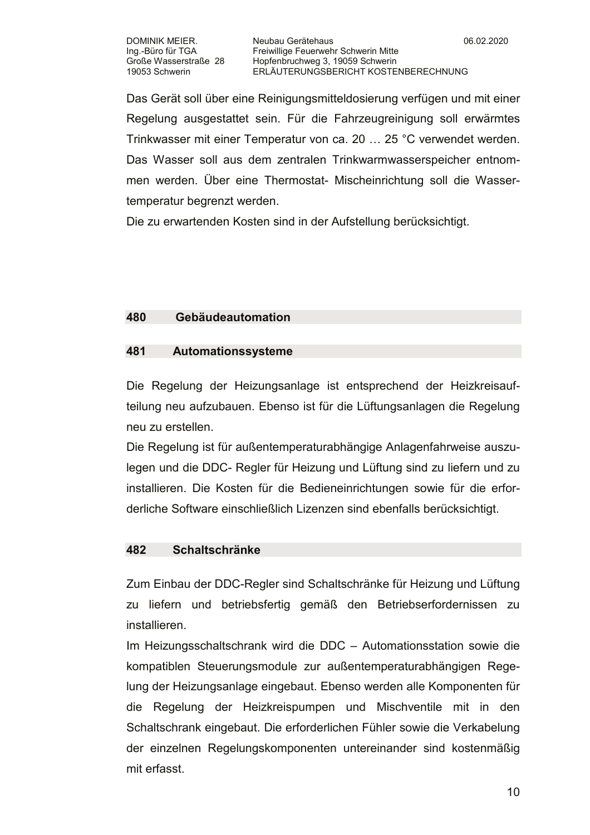Das Gerät soll über eine Reinigungsmitteldosierung verfügen und mit einer Regelung ausgestattet sein. Für die Fahrzeugreinigung soll erwärmtes Trinkwasser mit einer Temperatur von ca. 20 ... 25 °C verwendet werden. Das Wasser soll aus dem zentralen Trinkwarmwasserspeicher entnommen werden. Über eine Thermostat- Mischeinrichtung soll die Wassertemperatur begrenzt werden.

Die zu erwartenden Kosten sind in der Aufstellung berücksichtigt.

## 480 Gebäudeautomation

## 481 Automationssysteme

Die Regelung der Heizungsanlage ist entsprechend der Heizkreisaufteilung neu aufzubauen. Ebenso ist für die Lüftungsanlagen die Regelung neu zu erstellen.

Die Regelung ist für außentemperaturabhängige Anlagenfahrweise auszulegen und die DDC- Regler für Heizung und Lüftung sind zu liefern und zu installieren. Die Kosten für die Bedieneinrichtungen sowie für die erforderliche Software einschließlich Lizenzen sind ebenfalls berücksichtigt.

## 482 **Schaltschränke**

Zum Einbau der DDC-Regler sind Schaltschränke für Heizung und Lüftung zu liefern und betriebsfertig gemäß den Betriebserfordernissen zu installieren

Im Heizungsschaltschrank wird die DDC - Automationsstation sowie die kompatiblen Steuerungsmodule zur außentemperaturabhängigen Regelung der Heizungsanlage eingebaut. Ebenso werden alle Komponenten für die Regelung der Heizkreispumpen und Mischventile mit in den Schaltschrank eingebaut. Die erforderlichen Fühler sowie die Verkabelung der einzelnen Regelungskomponenten untereinander sind kostenmäßig mit erfasst